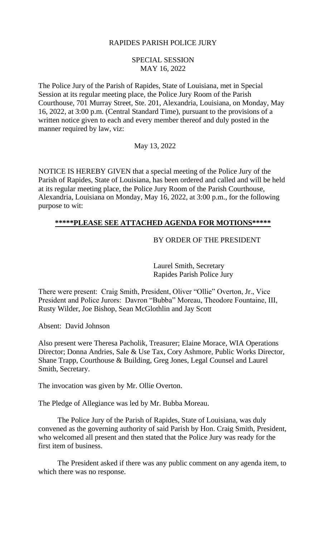# RAPIDES PARISH POLICE JURY

# SPECIAL SESSION MAY 16, 2022

The Police Jury of the Parish of Rapides, State of Louisiana, met in Special Session at its regular meeting place, the Police Jury Room of the Parish Courthouse, 701 Murray Street, Ste. 201, Alexandria, Louisiana, on Monday, May 16, 2022, at 3:00 p.m. (Central Standard Time), pursuant to the provisions of a written notice given to each and every member thereof and duly posted in the manner required by law, viz:

## May 13, 2022

NOTICE IS HEREBY GIVEN that a special meeting of the Police Jury of the Parish of Rapides, State of Louisiana, has been ordered and called and will be held at its regular meeting place, the Police Jury Room of the Parish Courthouse, Alexandria, Louisiana on Monday, May 16, 2022, at 3:00 p.m., for the following purpose to wit:

## **\*\*\*\*\*PLEASE SEE ATTACHED AGENDA FOR MOTIONS\*\*\*\*\***

## BY ORDER OF THE PRESIDENT

Laurel Smith, Secretary Rapides Parish Police Jury

There were present: Craig Smith, President, Oliver "Ollie" Overton, Jr., Vice President and Police Jurors: Davron "Bubba" Moreau, Theodore Fountaine, III, Rusty Wilder, Joe Bishop, Sean McGlothlin and Jay Scott

Absent: David Johnson

Also present were Theresa Pacholik, Treasurer; Elaine Morace, WIA Operations Director; Donna Andries, Sale & Use Tax, Cory Ashmore, Public Works Director, Shane Trapp, Courthouse & Building, Greg Jones, Legal Counsel and Laurel Smith, Secretary.

The invocation was given by Mr. Ollie Overton.

The Pledge of Allegiance was led by Mr. Bubba Moreau.

The Police Jury of the Parish of Rapides, State of Louisiana, was duly convened as the governing authority of said Parish by Hon. Craig Smith, President, who welcomed all present and then stated that the Police Jury was ready for the first item of business.

The President asked if there was any public comment on any agenda item, to which there was no response.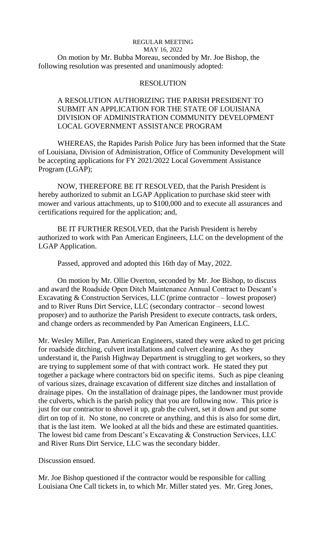## REGULAR MEETING MAY 16, 2022 On motion by Mr. Bubba Moreau, seconded by Mr. Joe Bishop, the following resolution was presented and unanimously adopted:

#### RESOLUTION

# A RESOLUTION AUTHORIZING THE PARISH PRESIDENT TO SUBMIT AN APPLICATION FOR THE STATE OF LOUISIANA DIVISION OF ADMINISTRATION COMMUNITY DEVELOPMENT LOCAL GOVERNMENT ASSISTANCE PROGRAM

WHEREAS, the Rapides Parish Police Jury has been informed that the State of Louisiana, Division of Administration, Office of Community Development will be accepting applications for FY 2021/2022 Local Government Assistance Program (LGAP);

NOW, THEREFORE BE IT RESOLVED, that the Parish President is hereby authorized to submit an LGAP Application to purchase skid steer with mower and various attachments, up to \$100,000 and to execute all assurances and certifications required for the application; and,

BE IT FURTHER RESOLVED, that the Parish President is hereby authorized to work with Pan American Engineers, LLC on the development of the LGAP Application.

Passed, approved and adopted this 16th day of May, 2022.

On motion by Mr. Ollie Overton, seconded by Mr. Joe Bishop, to discuss and award the Roadside Open Ditch Maintenance Annual Contract to Descant's Excavating & Construction Services, LLC (prime contractor – lowest proposer) and to River Runs Dirt Service, LLC (secondary contractor – second lowest proposer) and to authorize the Parish President to execute contracts, task orders, and change orders as recommended by Pan American Engineers, LLC.

Mr. Wesley Miller, Pan American Engineers, stated they were asked to get pricing for roadside ditching, culvert installations and culvert cleaning. As they understand it, the Parish Highway Department is struggling to get workers, so they are trying to supplement some of that with contract work. He stated they put together a package where contractors bid on specific items. Such as pipe cleaning of various sizes, drainage excavation of different size ditches and installation of drainage pipes. On the installation of drainage pipes, the landowner must provide the culverts, which is the parish policy that you are following now. This price is just for our contractor to shovel it up, grab the culvert, set it down and put some dirt on top of it. No stone, no concrete or anything, and this is also for some dirt, that is the last item. We looked at all the bids and these are estimated quantities. The lowest bid came from Descant's Excavating & Construction Services, LLC and River Runs Dirt Service, LLC was the secondary bidder.

Discussion ensued.

Mr. Joe Bishop questioned if the contractor would be responsible for calling Louisiana One Call tickets in, to which Mr. Miller stated yes. Mr. Greg Jones,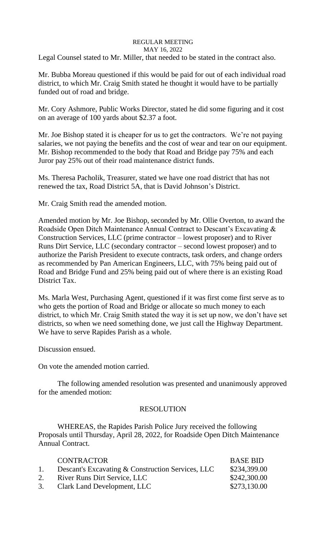#### REGULAR MEETING MAY 16, 2022

Legal Counsel stated to Mr. Miller, that needed to be stated in the contract also.

Mr. Bubba Moreau questioned if this would be paid for out of each individual road district, to which Mr. Craig Smith stated he thought it would have to be partially funded out of road and bridge.

Mr. Cory Ashmore, Public Works Director, stated he did some figuring and it cost on an average of 100 yards about \$2.37 a foot.

Mr. Joe Bishop stated it is cheaper for us to get the contractors. We're not paying salaries, we not paying the benefits and the cost of wear and tear on our equipment. Mr. Bishop recommended to the body that Road and Bridge pay 75% and each Juror pay 25% out of their road maintenance district funds.

Ms. Theresa Pacholik, Treasurer, stated we have one road district that has not renewed the tax, Road District 5A, that is David Johnson's District.

Mr. Craig Smith read the amended motion.

Amended motion by Mr. Joe Bishop, seconded by Mr. Ollie Overton, to award the Roadside Open Ditch Maintenance Annual Contract to Descant's Excavating & Construction Services, LLC (prime contractor – lowest proposer) and to River Runs Dirt Service, LLC (secondary contractor – second lowest proposer) and to authorize the Parish President to execute contracts, task orders, and change orders as recommended by Pan American Engineers, LLC, with 75% being paid out of Road and Bridge Fund and 25% being paid out of where there is an existing Road District Tax.

Ms. Marla West, Purchasing Agent, questioned if it was first come first serve as to who gets the portion of Road and Bridge or allocate so much money to each district, to which Mr. Craig Smith stated the way it is set up now, we don't have set districts, so when we need something done, we just call the Highway Department. We have to serve Rapides Parish as a whole.

Discussion ensued.

On vote the amended motion carried.

The following amended resolution was presented and unanimously approved for the amended motion:

# RESOLUTION

WHEREAS, the Rapides Parish Police Jury received the following Proposals until Thursday, April 28, 2022, for Roadside Open Ditch Maintenance Annual Contract.

|    | <b>CONTRACTOR</b>                                 | <b>BASE BID</b> |
|----|---------------------------------------------------|-----------------|
| 1. | Descant's Excavating & Construction Services, LLC | \$234,399.00    |
| 2. | <b>River Runs Dirt Service, LLC</b>               | \$242,300.00    |
|    | 3. Clark Land Development, LLC                    | \$273,130.00    |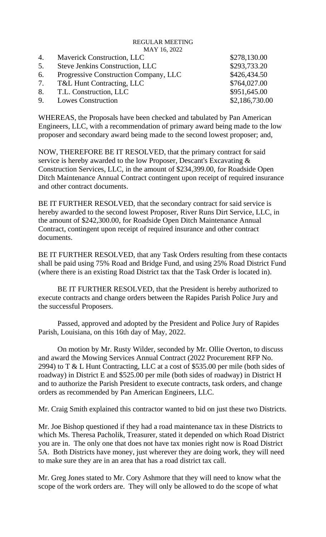#### REGULAR MEETING MAY 16, 2022

| 4. | <b>Maverick Construction, LLC</b>        | \$278,130.00   |
|----|------------------------------------------|----------------|
| 5. | <b>Steve Jenkins Construction, LLC</b>   | \$293,733.20   |
|    | 6. Progressive Construction Company, LLC | \$426,434.50   |
|    | 7. T&L Hunt Contracting, LLC             | \$764,027.00   |
|    | 8. T.L. Construction, LLC                | \$951,645.00   |
|    | 9. Lowes Construction                    | \$2,186,730.00 |

WHEREAS, the Proposals have been checked and tabulated by Pan American Engineers, LLC, with a recommendation of primary award being made to the low proposer and secondary award being made to the second lowest proposer; and,

NOW, THEREFORE BE IT RESOLVED, that the primary contract for said service is hereby awarded to the low Proposer, Descant's Excavating & Construction Services, LLC, in the amount of \$234,399.00, for Roadside Open Ditch Maintenance Annual Contract contingent upon receipt of required insurance and other contract documents.

BE IT FURTHER RESOLVED, that the secondary contract for said service is hereby awarded to the second lowest Proposer, River Runs Dirt Service, LLC, in the amount of \$242,300.00, for Roadside Open Ditch Maintenance Annual Contract, contingent upon receipt of required insurance and other contract documents.

BE IT FURTHER RESOLVED, that any Task Orders resulting from these contacts shall be paid using 75% Road and Bridge Fund, and using 25% Road District Fund (where there is an existing Road District tax that the Task Order is located in).

BE IT FURTHER RESOLVED, that the President is hereby authorized to execute contracts and change orders between the Rapides Parish Police Jury and the successful Proposers.

Passed, approved and adopted by the President and Police Jury of Rapides Parish, Louisiana, on this 16th day of May, 2022.

On motion by Mr. Rusty Wilder, seconded by Mr. Ollie Overton, to discuss and award the Mowing Services Annual Contract (2022 Procurement RFP No. 2994) to T & L Hunt Contracting, LLC at a cost of \$535.00 per mile (both sides of roadway) in District E and \$525.00 per mile (both sides of roadway) in District H and to authorize the Parish President to execute contracts, task orders, and change orders as recommended by Pan American Engineers, LLC.

Mr. Craig Smith explained this contractor wanted to bid on just these two Districts.

Mr. Joe Bishop questioned if they had a road maintenance tax in these Districts to which Ms. Theresa Pacholik, Treasurer, stated it depended on which Road District you are in. The only one that does not have tax monies right now is Road District 5A. Both Districts have money, just wherever they are doing work, they will need to make sure they are in an area that has a road district tax call.

Mr. Greg Jones stated to Mr. Cory Ashmore that they will need to know what the scope of the work orders are. They will only be allowed to do the scope of what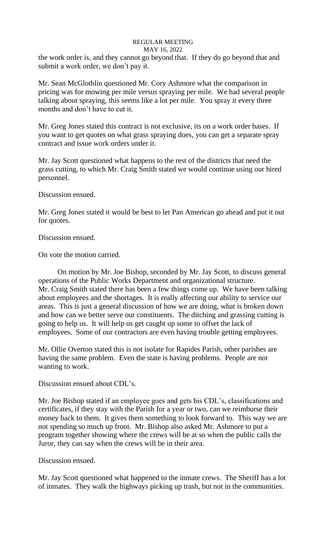# REGULAR MEETING

# MAY 16, 2022

the work order is, and they cannot go beyond that. If they do go beyond that and submit a work order, we don't pay it.

Mr. Sean McGlothlin questioned Mr. Cory Ashmore what the comparison in pricing was for mowing per mile versus spraying per mile. We had several people talking about spraying, this seems like a lot per mile. You spray it every three months and don't have to cut it.

Mr. Greg Jones stated this contract is not exclusive, its on a work order bases. If you want to get quotes on what grass spraying does, you can get a separate spray contract and issue work orders under it.

Mr. Jay Scott questioned what happens to the rest of the districts that need the grass cutting, to which Mr. Craig Smith stated we would continue using our hired personnel.

Discussion ensued.

Mr. Greg Jones stated it would be best to let Pan American go ahead and put it out for quotes.

Discussion ensued.

On vote the motion carried.

On motion by Mr. Joe Bishop, seconded by Mr. Jay Scott, to discuss general operations of the Public Works Department and organizational structure. Mr. Craig Smith stated there has been a few things come up. We have been talking about employees and the shortages. It is really affecting our ability to service our areas. This is just a general discussion of how we are doing, what is broken down and how can we better serve our constituents. The ditching and grassing cutting is going to help us. It will help us get caught up some to offset the lack of employees. Some of our contractors are even having trouble getting employees.

Mr. Ollie Overton stated this is not isolate for Rapides Parish, other parishes are having the same problem. Even the state is having problems. People are not wanting to work.

Discussion ensued about CDL's.

Mr. Joe Bishop stated if an employee goes and gets his CDL's, classifications and certificates, if they stay with the Parish for a year or two, can we reimburse their money back to them. It gives them something to look forward to. This way we are not spending so much up front. Mr. Bishop also asked Mr. Ashmore to put a program together showing where the crews will be at so when the public calls the Juror, they can say when the crews will be in their area.

Discussion ensued.

Mr. Jay Scott questioned what happened to the inmate crews. The Sheriff has a lot of inmates. They walk the highways picking up trash, but not in the communities.